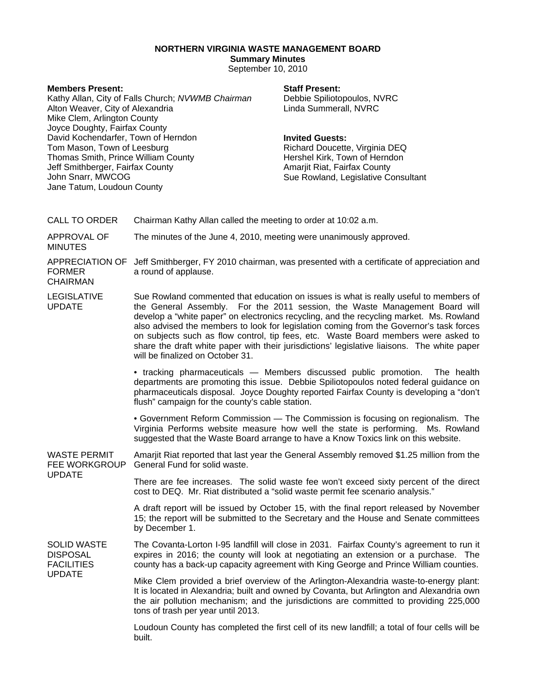# **NORTHERN VIRGINIA WASTE MANAGEMENT BOARD**

# **Summary Minutes**

September 10, 2010

#### **Members Present:**

Kathy Allan, City of Falls Church; *NVWMB Chairman* Alton Weaver, City of Alexandria Mike Clem, Arlington County Joyce Doughty, Fairfax County David Kochendarfer, Town of Herndon Tom Mason, Town of Leesburg Thomas Smith, Prince William County Jeff Smithberger, Fairfax County John Snarr, MWCOG Jane Tatum, Loudoun County

## **Staff Present:**

Debbie Spiliotopoulos, NVRC Linda Summerall, NVRC

## **Invited Guests:**

Richard Doucette, Virginia DEQ Hershel Kirk, Town of Herndon Amarjit Riat, Fairfax County Sue Rowland, Legislative Consultant

| <b>CALL TO ORDER</b>                                       | Chairman Kathy Allan called the meeting to order at 10:02 a.m.                                                                                                                                                                                                                                                                                                                                                                                                                                                                                                                      |
|------------------------------------------------------------|-------------------------------------------------------------------------------------------------------------------------------------------------------------------------------------------------------------------------------------------------------------------------------------------------------------------------------------------------------------------------------------------------------------------------------------------------------------------------------------------------------------------------------------------------------------------------------------|
| APPROVAL OF<br><b>MINUTES</b>                              | The minutes of the June 4, 2010, meeting were unanimously approved.                                                                                                                                                                                                                                                                                                                                                                                                                                                                                                                 |
| <b>FORMER</b><br><b>CHAIRMAN</b>                           | APPRECIATION OF Jeff Smithberger, FY 2010 chairman, was presented with a certificate of appreciation and<br>a round of applause.                                                                                                                                                                                                                                                                                                                                                                                                                                                    |
| <b>LEGISLATIVE</b><br><b>UPDATE</b>                        | Sue Rowland commented that education on issues is what is really useful to members of<br>the General Assembly. For the 2011 session, the Waste Management Board will<br>develop a "white paper" on electronics recycling, and the recycling market. Ms. Rowland<br>also advised the members to look for legislation coming from the Governor's task forces<br>on subjects such as flow control, tip fees, etc. Waste Board members were asked to<br>share the draft white paper with their jurisdictions' legislative liaisons. The white paper<br>will be finalized on October 31. |
|                                                            | • tracking pharmaceuticals - Members discussed public promotion. The health<br>departments are promoting this issue. Debbie Spiliotopoulos noted federal guidance on<br>pharmaceuticals disposal. Joyce Doughty reported Fairfax County is developing a "don't<br>flush" campaign for the county's cable station.                                                                                                                                                                                                                                                                   |
|                                                            | • Government Reform Commission — The Commission is focusing on regionalism. The<br>Virginia Performs website measure how well the state is performing. Ms. Rowland<br>suggested that the Waste Board arrange to have a Know Toxics link on this website.                                                                                                                                                                                                                                                                                                                            |
| <b>WASTE PERMIT</b><br><b>FEE WORKGROUP</b>                | Amarjit Riat reported that last year the General Assembly removed \$1.25 million from the<br>General Fund for solid waste.                                                                                                                                                                                                                                                                                                                                                                                                                                                          |
| <b>UPDATE</b>                                              | There are fee increases. The solid waste fee won't exceed sixty percent of the direct<br>cost to DEQ. Mr. Riat distributed a "solid waste permit fee scenario analysis."                                                                                                                                                                                                                                                                                                                                                                                                            |
|                                                            | A draft report will be issued by October 15, with the final report released by November<br>15; the report will be submitted to the Secretary and the House and Senate committees<br>by December 1.                                                                                                                                                                                                                                                                                                                                                                                  |
| <b>SOLID WASTE</b><br><b>DISPOSAL</b><br><b>FACILITIES</b> | The Covanta-Lorton I-95 landfill will close in 2031. Fairfax County's agreement to run it<br>expires in 2016; the county will look at negotiating an extension or a purchase. The<br>county has a back-up capacity agreement with King George and Prince William counties.                                                                                                                                                                                                                                                                                                          |
| <b>UPDATE</b>                                              | Mike Clem provided a brief overview of the Arlington-Alexandria waste-to-energy plant:<br>It is located in Alexandria; built and owned by Covanta, but Arlington and Alexandria own<br>the air pollution mechanism; and the jurisdictions are committed to providing 225,000<br>tons of trash per year until 2013.                                                                                                                                                                                                                                                                  |
|                                                            | Loudoun County has completed the first cell of its new landfill; a total of four cells will be<br>built.                                                                                                                                                                                                                                                                                                                                                                                                                                                                            |